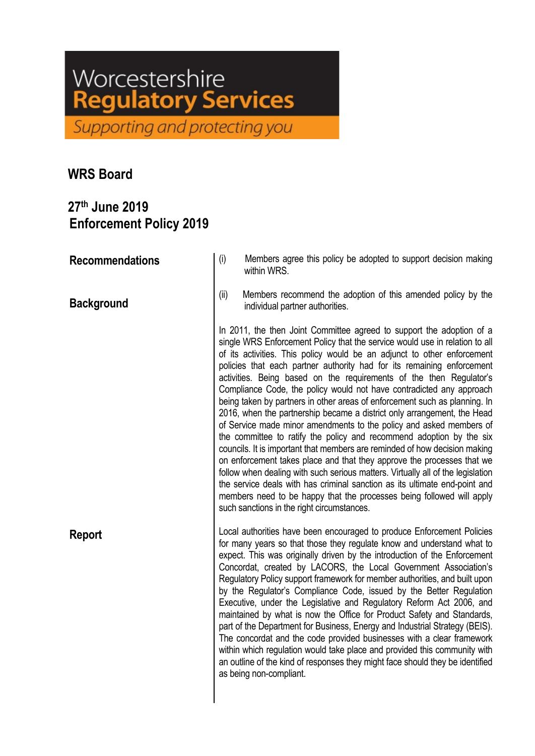## Worcestershire egulatory Services

Supporting and protecting you

## **WRS Board**

## **27th June 2019 Enforcement Policy 2019**

**Recommendations Background Report** (i) Members agree this policy be adopted to support decision making within WRS. (ii) Members recommend the adoption of this amended policy by the individual partner authorities. In 2011, the then Joint Committee agreed to support the adoption of a single WRS Enforcement Policy that the service would use in relation to all of its activities. This policy would be an adjunct to other enforcement policies that each partner authority had for its remaining enforcement activities. Being based on the requirements of the then Regulator's Compliance Code, the policy would not have contradicted any approach being taken by partners in other areas of enforcement such as planning. In 2016, when the partnership became a district only arrangement, the Head of Service made minor amendments to the policy and asked members of the committee to ratify the policy and recommend adoption by the six councils. It is important that members are reminded of how decision making on enforcement takes place and that they approve the processes that we follow when dealing with such serious matters. Virtually all of the legislation the service deals with has criminal sanction as its ultimate end-point and members need to be happy that the processes being followed will apply such sanctions in the right circumstances. Local authorities have been encouraged to produce Enforcement Policies for many years so that those they regulate know and understand what to expect. This was originally driven by the introduction of the Enforcement Concordat, created by LACORS, the Local Government Association's Regulatory Policy support framework for member authorities, and built upon by the Regulator's Compliance Code, issued by the Better Regulation Executive, under the Legislative and Regulatory Reform Act 2006, and maintained by what is now the Office for Product Safety and Standards, part of the Department for Business, Energy and Industrial Strategy (BEIS). The concordat and the code provided businesses with a clear framework within which regulation would take place and provided this community with an outline of the kind of responses they might face should they be identified as being non-compliant.